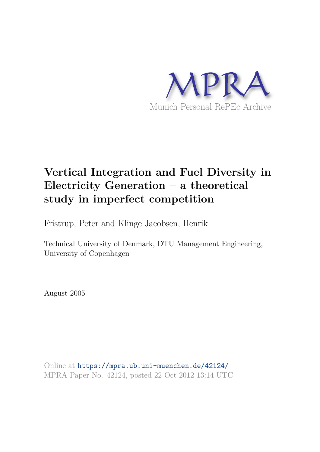

# **Vertical Integration and Fuel Diversity in Electricity Generation – a theoretical study in imperfect competition**

Fristrup, Peter and Klinge Jacobsen, Henrik

Technical University of Denmark, DTU Management Engineering, University of Copenhagen

August 2005

Online at https://mpra.ub.uni-muenchen.de/42124/ MPRA Paper No. 42124, posted 22 Oct 2012 13:14 UTC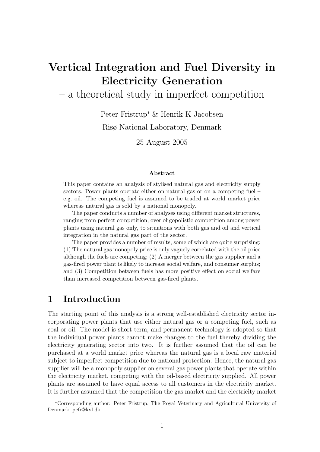# Vertical Integration and Fuel Diversity in Electricity Generation

– a theoretical study in imperfect competition

Peter Fristrup<sup>∗</sup> & Henrik K Jacobsen

Risø National Laboratory, Denmark

25 August 2005

#### Abstract

This paper contains an analysis of stylised natural gas and electricity supply sectors. Power plants operate either on natural gas or on a competing fuel – e.g. oil. The competing fuel is assumed to be traded at world market price whereas natural gas is sold by a national monopoly.

The paper conducts a number of analyses using different market structures, ranging from perfect competition, over oligopolistic competition among power plants using natural gas only, to situations with both gas and oil and vertical integration in the natural gas part of the sector.

The paper provides a number of results, some of which are quite surprising: (1) The natural gas monopoly price is only vaguely correlated with the oil price although the fuels are competing; (2) A merger between the gas supplier and a gas-fired power plant is likely to increase social welfare, and consumer surplus; and (3) Competition between fuels has more positive effect on social welfare than increased competition between gas-fired plants.

### 1 Introduction

The starting point of this analysis is a strong well-established electricity sector incorporating power plants that use either natural gas or a competing fuel, such as coal or oil. The model is short-term; and permanent technology is adopted so that the individual power plants cannot make changes to the fuel thereby dividing the electricity generating sector into two. It is further assumed that the oil can be purchased at a world market price whereas the natural gas is a local raw material subject to imperfect competition due to national protection. Hence, the natural gas supplier will be a monopoly supplier on several gas power plants that operate within the electricity market, competing with the oil-based electricity supplied. All power plants are assumed to have equal access to all customers in the electricity market. It is further assumed that the competition the gas market and the electricity market

<sup>∗</sup>Corresponding author: Peter Fristrup, The Royal Veterinary and Agricultural University of Denmark, pefr@kvl.dk.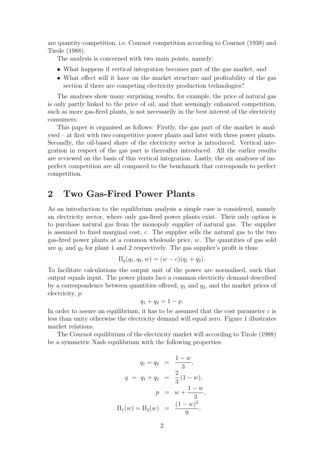are quantity competition, i.e. Cournot competition according to Cournot (1938) and Tirole (1988).

The analysis is concerned with two main points, namely:

- What happens if vertical integration becomes part of the gas market, and
- What effect will it have on the market structure and profitability of the gas section if there are competing electricity production technologies?

The analyses show many surprising results, for example, the price of natural gas is only partly linked to the price of oil, and that seemingly enhanced competition, such as more gas-fired plants, is not necessarily in the best interest of the electricity consumers.

This paper is organised as follows: Firstly, the gas part of the market is analysed – at first with two competitive power plants and later with three power plants. Secondly, the oil-based share of the electricity sector is introduced. Vertical integration in respect of the gas part is thereafter introduced. All the earlier results are reviewed on the basis of this vertical integration. Lastly, the six analyses of imperfect competition are all compared to the benchmark that corresponds to perfect competition.

#### 2 Two Gas-Fired Power Plants

As an introduction to the equilibrium analysis a simple case is considered, namely an electricity sector, where only gas-fired power plants exist. Their only option is to purchase natural gas from the monopoly supplier of natural gas. The supplier is assumed to fixed marginal cost, c. The supplier sells the natural gas to the two gas-fired power plants at a common wholesale price, w. The quantities of gas sold are  $q_1$  and  $q_2$  for plant 1 and 2 respectively. The gas supplier's profit is thus:

$$
\Pi_g(q_1, q_2, w) = (w - c)(q_1 + q_2).
$$

To facilitate calculations the output unit of the power are normalised, such that output equals input. The power plants face a common electricity demand described by a correspondence between quantities offered,  $q_1$  and  $q_2$ , and the market prices of electricity, p:

$$
q_1+q_2=1-p.
$$

In order to assure an equilibrium, it has to be assumed that the cost parameter  $c$  is less than unity otherwise the electricity demand will equal zero. Figure 1 illustrates market relations.

The Cournot equilibrium of the electricity market will according to Tirole (1988) be a symmetric Nash equilibrium with the following properties:

$$
q_1 = q_2 = \frac{1-w}{3},
$$
  
\n
$$
q = q_1 + q_2 = \frac{2}{3}(1-w),
$$
  
\n
$$
p = w + \frac{1-w}{3},
$$
  
\n
$$
\Pi_1(w) = \Pi_2(w) = \frac{(1-w)^2}{9},
$$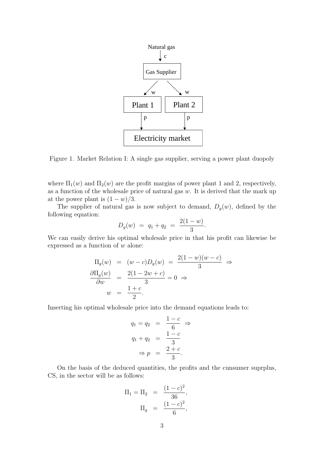

Figure 1. Market Relation I: A single gas supplier, serving a power plant duopoly

where  $\Pi_1(w)$  and  $\Pi_2(w)$  are the profit margins of power plant 1 and 2, respectively, as a function of the wholesale price of natural gas  $w$ . It is derived that the mark up at the power plant is  $(1 - w)/3$ .

The supplier of natural gas is now subject to demand,  $D_g(w)$ , defined by the following equation:

$$
D_g(w) = q_1 + q_2 = \frac{2(1-w)}{3}.
$$

We can easily derive his optimal wholesale price in that his profit can likewise be expressed as a function of  $w$  alone:

$$
\Pi_g(w) = (w - c)D_g(w) = \frac{2(1 - w)(w - c)}{3} \Rightarrow
$$
  
\n
$$
\frac{\partial \Pi_g(w)}{\partial w} = \frac{2(1 - 2w + c)}{3} = 0 \Rightarrow
$$
  
\n
$$
w = \frac{1 + c}{2}.
$$

Inserting his optimal wholesale price into the demand equations leads to:

$$
q_1 = q_2 = \frac{1-c}{6} \Rightarrow
$$
  
\n
$$
q_1 + q_2 = \frac{1-c}{3}
$$
  
\n
$$
\Rightarrow p = \frac{2+c}{3}.
$$

On the basis of the deduced quantities, the profits and the cunsumer suprplus, CS, in the sector will be as follows:

$$
\Pi_1 = \Pi_2 = \frac{(1-c)^2}{36},
$$
  

$$
\Pi_g = \frac{(1-c)^2}{6},
$$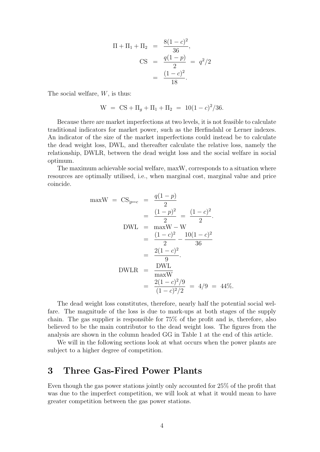$$
\Pi + \Pi_1 + \Pi_2 = \frac{8(1-c)^2}{36},
$$
  
\nCS =  $\frac{q(1-p)}{2} = q^2/2$   
\n=  $\frac{(1-c)^2}{18}$ .

The social welfare, W, is thus:

$$
W = CS + \Pi_g + \Pi_1 + \Pi_2 = 10(1 - c)^2/36.
$$

Because there are market imperfections at two levels, it is not feasible to calculate traditional indicators for market power, such as the Herfindahl or Lerner indexes. An indicator of the size of the market imperfections could instead be to calculate the dead weight loss, DWL, and thereafter calculate the relative loss, namely the relationship, DWLR, between the dead weight loss and the social welfare in social optimum.

The maximum achievable social welfare, maxW, corresponds to a situation where resources are optimally utilised, i.e., when marginal cost, marginal value and price coincide.

$$
\max W = CS_{|p=c} = \frac{q(1-p)}{2}
$$
  
=  $\frac{(1-p)^2}{2} = \frac{(1-c)^2}{2}$ .  
DWL = maxW - W  
=  $\frac{(1-c)^2}{2} - \frac{10(1-c)^2}{36}$   
=  $\frac{2(1-c)^2}{9}$ .  
DWLR =  $\frac{\text{DWL}}{\text{maxW}}$   
=  $\frac{2(1-c)^2/9}{(1-c)^2/2} = 4/9 = 44\%.$ 

The dead weight loss constitutes, therefore, nearly half the potential social welfare. The magnitude of the loss is due to mark-ups at both stages of the supply chain. The gas supplier is responsible for 75% of the profit and is, therefore, also believed to be the main contributor to the dead weight loss. The figures from the analysis are shown in the column headed GG in Table 1 at the end of this article.

We will in the following sections look at what occurs when the power plants are subject to a higher degree of competition.

#### 3 Three Gas-Fired Power Plants

Even though the gas power stations jointly only accounted for 25% of the profit that was due to the imperfect competition, we will look at what it would mean to have greater competition between the gas power stations.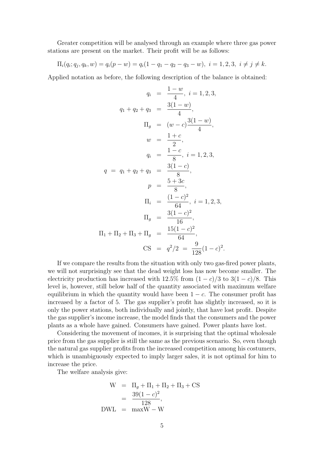Greater competition will be analysed through an example where three gas power stations are present on the market. Their profit will be as follows:

$$
\Pi_i(q_i; q_j, q_k, w) = q_i(p - w) = q_i(1 - q_1 - q_2 - q_3 - w), \ i = 1, 2, 3, \ i \neq j \neq k.
$$

Applied notation as before, the following description of the balance is obtained:

$$
q_{i} = \frac{1-w}{4}, i = 1, 2, 3,
$$
  
\n
$$
q_{1} + q_{2} + q_{3} = \frac{3(1-w)}{4},
$$
  
\n
$$
\Pi_{g} = (w-c)\frac{3(1-w)}{4},
$$
  
\n
$$
w = \frac{1+c}{2},
$$
  
\n
$$
q_{i} = \frac{1-c}{8}, i = 1, 2, 3,
$$
  
\n
$$
q = q_{1} + q_{2} + q_{3} = \frac{3(1-c)}{8},
$$
  
\n
$$
p = \frac{5+3c}{8},
$$
  
\n
$$
\Pi_{i} = \frac{(1-c)^{2}}{64}, i = 1, 2, 3,
$$
  
\n
$$
\Pi_{g} = \frac{3(1-c)^{2}}{16},
$$
  
\n
$$
\Pi_{1} + \Pi_{2} + \Pi_{3} + \Pi_{g} = \frac{15(1-c)^{2}}{64},
$$
  
\n
$$
\text{CS} = q^{2}/2 = \frac{9}{128}(1-c)^{2}.
$$

If we compare the results from the situation with only two gas-fired power plants, we will not surprisingly see that the dead weight loss has now become smaller. The electricity production has increased with 12.5% from  $(1 - c)/3$  to  $3(1 - c)/8$ . This level is, however, still below half of the quantity associated with maximum welfare equilibrium in which the quantity would have been  $1 - c$ . The consumer profit has increased by a factor of 5. The gas supplier's profit has slightly increased, so it is only the power stations, both individually and jointly, that have lost profit. Despite the gas supplier's income increase, the model finds that the consumers and the power plants as a whole have gained. Consumers have gained. Power plants have lost.

Considering the movement of incomes, it is surprising that the optimal wholesale price from the gas supplier is still the same as the previous scenario. So, even though the natural gas supplier profits from the increased competition among his costumers, which is unambiguously expected to imply larger sales, it is not optimal for him to increase the price.

The welfare analysis give:

$$
W = \Pi_g + \Pi_1 + \Pi_2 + \Pi_3 + CS
$$
  
=  $\frac{39(1 - c)^2}{128}$ ,  

$$
DWL = \max W - W
$$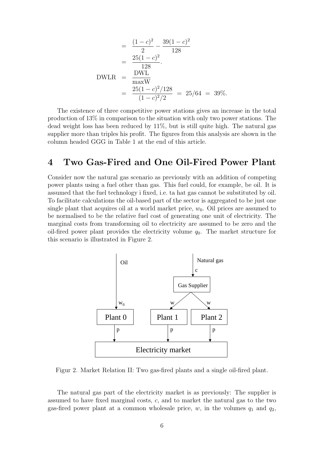$$
= \frac{(1-c)^2}{2} - \frac{39(1-c)^2}{128}
$$

$$
= \frac{25(1-c)^2}{128}.
$$
DWLR = 
$$
\frac{DWL}{\max W}
$$

$$
= \frac{25(1-c)^2/128}{(1-c)^2/2} = 25/64 = 39\%.
$$

The existence of three competitive power stations gives an increase in the total production of 13% in comparison to the situation with only two power stations. The dead weight loss has been reduced by 11%, but is still quite high. The natural gas supplier more than triples his profit. The figures from this analysis are shown in the column headed GGG in Table 1 at the end of this article.

#### 4 Two Gas-Fired and One Oil-Fired Power Plant

Consider now the natural gas scenario as previously with an addition of competing power plants using a fuel other than gas. This fuel could, for example, be oil. It is assumed that the fuel technology i fixed, i.e. ta hat gas cannot be substituted by oil. To facilitate calculations the oil-based part of the sector is aggregated to be just one single plant that acquires oil at a world market price,  $w_0$ . Oil prices are assumed to be normalised to be the relative fuel cost of generating one unit of electricity. The marginal costs from transforming oil to electricity are assumed to be zero and the oil-fired power plant provides the electricity volume  $q_0$ . The market structure for this scenario is illustrated in Figure 2.



Figur 2. Market Relation II: Two gas-fired plants and a single oil-fired plant.

The natural gas part of the electricity market is as previously: The supplier is assumed to have fixed marginal costs, c, and to market the natural gas to the two gas-fired power plant at a common wholesale price,  $w$ , in the volumes  $q_1$  and  $q_2$ ,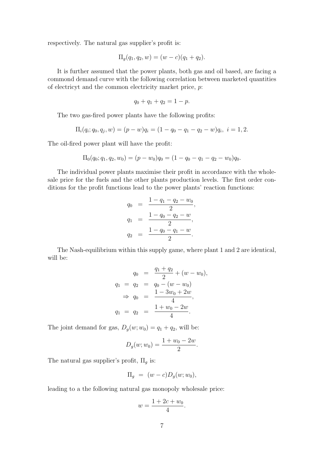respectively. The natural gas supplier's profit is:

$$
\Pi_g(q_1, q_2, w) = (w - c)(q_1 + q_2).
$$

It is further assumed that the power plants, both gas and oil based, are facing a commond demand curve with the following correlation between marketed quantities of electricyt and the common electricity market price, p:

$$
q_0 + q_1 + q_2 = 1 - p.
$$

The two gas-fired power plants have the following profits:

$$
\Pi_i(q_i; q_0, q_j, w) = (p - w)q_i = (1 - q_0 - q_1 - q_2 - w)q_i, \ i = 1, 2.
$$

The oil-fired power plant will have the profit:

$$
\Pi_0(q_0; q_1, q_2, w_0) = (p - w_0)q_0 = (1 - q_0 - q_1 - q_2 - w_0)q_0.
$$

The individual power plants maximise their profit in accordance with the wholesale price for the fuels and the other plants production levels. The first order conditions for the profit functions lead to the power plants' reaction functions:

$$
q_0 = \frac{1 - q_1 - q_2 - w_0}{2},
$$
  
\n
$$
q_1 = \frac{1 - q_0 - q_2 - w}{2},
$$
  
\n
$$
q_2 = \frac{1 - q_0 - q_1 - w}{2}.
$$

The Nash-equilibrium within this supply game, where plant 1 and 2 are identical, will be:

$$
q_0 = \frac{q_1 + q_2}{2} + (w - w_0),
$$
  
\n
$$
q_1 = q_2 = q_0 - (w - w_0)
$$
  
\n
$$
\Rightarrow q_0 = \frac{1 - 3w_0 + 2w}{4},
$$
  
\n
$$
q_1 = q_2 = \frac{1 + w_0 - 2w}{4}.
$$

The joint demand for gas,  $D_g(w; w_0) = q_1 + q_2$ , will be:

$$
D_g(w; w_0) = \frac{1 + w_0 - 2w}{2}.
$$

The natural gas supplier's profit,  $\Pi_g$  is:

$$
\Pi_g = (w - c)D_g(w; w_0),
$$

leading to a the following natural gas monopoly wholesale price:

$$
w = \frac{1 + 2c + w_0}{4}.
$$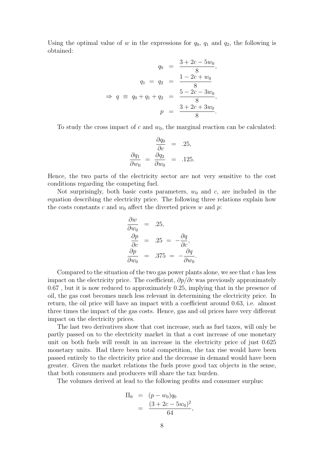Using the optimal value of w in the expressions for  $q_0$ ,  $q_1$  and  $q_2$ , the following is obtained:

$$
q_0 = \frac{3 + 2c - 5w_0}{8},
$$
  
\n
$$
q_1 = q_2 = \frac{1 - 2c + w_0}{8},
$$
  
\n
$$
\Rightarrow q \equiv q_0 + q_1 + q_2 = \frac{5 - 2c - 3w_0}{8},
$$
  
\n
$$
p = \frac{3 + 2c + 3w_0}{8}.
$$

To study the cross impact of c and  $w_0$ , the marginal reaction can be calculated:

$$
\frac{\partial q_0}{\partial c} = .25,
$$
  

$$
\frac{\partial q_1}{\partial w_0} = \frac{\partial q_2}{\partial w_0} = .125.
$$

Hence, the two parts of the electricity sector are not very sensitive to the cost conditions regarding the competing fuel.

Not surprisingly, both basic costs parameters,  $w_0$  and c, are included in the equation describing the electricity price. The following three relations explain how the costs constants c and  $w_0$  affect the diverted prices w and p:

$$
\frac{\partial w}{\partial w_0} = .25, \n\frac{\partial p}{\partial c} = .25 = -\frac{\partial q}{\partial c}, \n\frac{\partial p}{\partial w_0} = .375 = -\frac{\partial q}{\partial w_0}.
$$

Compared to the situation of the two gas power plants alone, we see that c has less impact on the electricity price. The coefficient,  $\partial p/\partial c$  was previously approximately 0.67 , but it is now reduced to approximately 0.25, implying that in the presence of oil, the gas cost becomes much less relevant in determining the electricity price. In return, the oil price will have an impact with a coefficient around 0.63, i.e. almost three times the impact of the gas costs. Hence, gas and oil prices have very different impact on the electricity prices.

The last two derivatives show that cost increase, such as fuel taxes, will only be partly passed on to the electricity market in that a cost increase of one monetary unit on both fuels will result in an increase in the electricity price of just 0.625 monetary units. Had there been total competition, the tax rise would have been passed entirely to the electricity price and the decrease in demand would have been greater. Given the market relations the fuels prove good tax objects in the sense, that both consumers and producers will share the tax burden.

The volumes derived at lead to the following profits and consumer surplus:

$$
\Pi_0 = (p - w_0)q_0
$$
  
= 
$$
\frac{(3 + 2c - 5w_0)^2}{64},
$$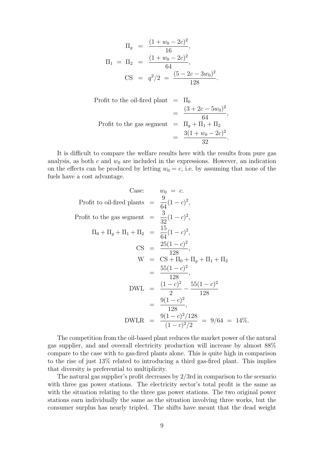$$
\Pi_g = \frac{(1+w_0-2c)^2}{16},
$$
  
\n
$$
\Pi_1 = \Pi_2 = \frac{(1+w_0-2c)^2}{64},
$$
  
\n
$$
\text{CS} = q^2/2 = \frac{(5-2c-3w_0)^2}{128}.
$$

Profit to the oil-fired plant 
$$
= \frac{(\text{3} + 2c - 5w_0)^2}{64},
$$
Profit to the gas segment 
$$
= \frac{\Pi_g + \Pi_1 + \Pi_2}{32} = \frac{3(1 + w_0 - 2c)^2}{32}.
$$

It is difficult to compare the welfare results here with the results from pure gas analysis, as both c and  $w_0$  are included in the expressions. However, an indication on the effects can be produced by letting  $w_0 = c$ , i.e. by assuming that none of the fuels have a cost advantage.

Case: 
$$
w_0 = c
$$
.  
\nProfit to oil-fired plants =  $\frac{9}{64}(1-c)^2$ ,  
\nProfit to the gas segment =  $\frac{3}{32}(1-c)^2$ ,  
\n $\Pi_0 + \Pi_g + \Pi_1 + \Pi_2 = \frac{15}{64}(1-c)^2$ ,  
\n $\text{CS} = \frac{25(1-c)^2}{128}$ ,  
\n $\text{W} = \text{CS} + \Pi_0 + \Pi_g + \Pi_1 + \Pi_2$   
\n $= \frac{55(1-c)^2}{128}$ ,  
\nDWL =  $\frac{(1-c)^2}{2} - \frac{55(1-c)^2}{128}$   
\n $= \frac{9(1-c)^2}{128}$ ,  
\nDWLR =  $\frac{9(1-c)^2/128}{(1-c)^2/2} = 9/64 = 14\%$ .

The competition from the oil-based plant reduces the market power of the natural gas supplier, and and oveerall electricity production will increase by almost 88% compare to the case with to gas-fired plants alone. This is quite high in comparison to the rise of just 13% related to introducing a third gas-fired plant. This implies that diversity is preferential to multiplicity.

The natural gas supplier's profit decreases by 2/3rd in comparison to the scenario with three gas power stations. The electricity sector's total profit is the same as with the situation relating to the three gas power stations. The two original power stations earn individually the same as the situation involving three works, but the consumer surplus has nearly tripled. The shifts have meant that the dead weight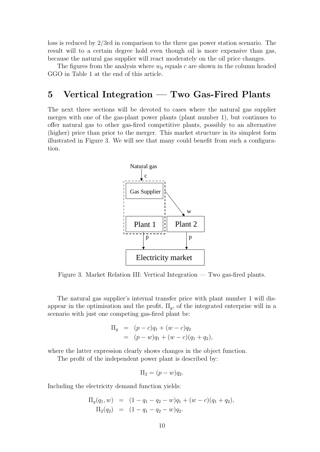loss is reduced by 2/3rd in comparison to the three gas power station scenario. The result will to a certain degree hold even though oil is more expensive than gas, because the natural gas supplier will react moderately on the oil price changes.

The figures from the analysis where  $w_0$  equals c are shown in the column headed GGO in Table 1 at the end of this article.

### 5 Vertical Integration — Two Gas-Fired Plants

The next three sections will be devoted to cases where the natural gas supplier merges with one of the gas-plant power plants (plant number 1), but continues to offer natural gas to other gas-fired competitive plants, possibly to an alternative (higher) price than prior to the merger. This market structure in its simplest form illustrated in Figure 3. We will see that many could benefit from such a configuration.



Figure 3. Market Relation III: Vertical Integration — Two gas-fired plants.

The natural gas supplier's internal transfer price with plant number 1 will disappear in the optimisation and the profit,  $\Pi_q$ , of the integrated enterprise will in a scenario with just one competing gas-fired plant be:

$$
\Pi_g = (p - c)q_1 + (w - c)q_2
$$
  
=  $(p - w)q_1 + (w - c)(q_1 + q_2),$ 

where the latter expression clearly shows changes in the object function.

The profit of the independent power plant is described by:

$$
\Pi_2 = (p - w)q_2.
$$

Including the electricity demand function yields:

$$
\Pi_g(q_1, w) = (1 - q_1 - q_2 - w)q_1 + (w - c)(q_1 + q_2),
$$
  
\n
$$
\Pi_2(q_2) = (1 - q_1 - q_2 - w)q_2.
$$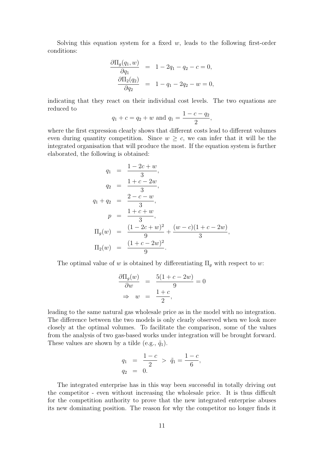Solving this equation system for a fixed w, leads to the following first-order conditions:

$$
\frac{\partial \Pi_g(q_1, w)}{\partial q_1} = 1 - 2q_1 - q_2 - c = 0, \n\frac{\partial \Pi_2(q_2)}{\partial q_2} = 1 - q_1 - 2q_2 - w = 0,
$$

indicating that they react on their individual cost levels. The two equations are reduced to

$$
q_1 + c = q_2 + w
$$
 and  $q_1 = \frac{1 - c - q_2}{2}$ ,

where the first expression clearly shows that different costs lead to different volumes even during quantity competition. Since  $w \geq c$ , we can infer that it will be the integrated organisation that will produce the most. If the equation system is further elaborated, the following is obtained:

$$
q_1 = \frac{1 - 2c + w}{3},
$$
  
\n
$$
q_2 = \frac{1 + c - 2w}{3},
$$
  
\n
$$
q_1 + q_2 = \frac{2 - c - w}{3},
$$
  
\n
$$
p = \frac{1 + c + w}{3},
$$
  
\n
$$
\Pi_g(w) = \frac{(1 - 2c + w)^2}{9} + \frac{(w - c)(1 + c - 2w)}{3},
$$
  
\n
$$
\Pi_2(w) = \frac{(1 + c - 2w)^2}{9}.
$$

The optimal value of w is obtained by differentiating  $\Pi_g$  with respect to w:

$$
\frac{\partial \Pi_g(w)}{\partial w} = \frac{5(1+c-2w)}{9} = 0
$$
  
\n
$$
\Rightarrow w = \frac{1+c}{2},
$$

leading to the same natural gas wholesale price as in the model with no integration. The difference between the two models is only clearly observed when we look more closely at the optimal volumes. To facilitate the comparison, some of the values from the analysis of two gas-based works under integration will be brought forward. These values are shown by a tilde (e.g.,  $\tilde{q}_1$ ).

$$
q_1 = \frac{1-c}{2} > \tilde{q}_1 = \frac{1-c}{6},
$$
  

$$
q_2 = 0.
$$

The integrated enterprise has in this way been successful in totally driving out the competitor - even without increasing the wholesale price. It is thus difficult for the competition authority to prove that the new integrated enterprise abuses its new dominating position. The reason for why the competitor no longer finds it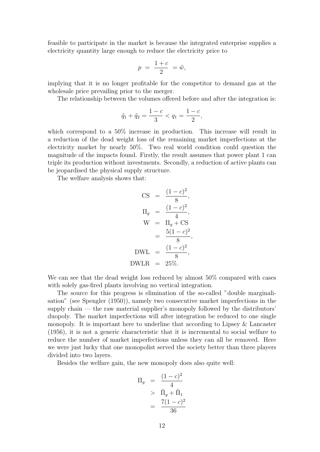feasible to participate in the market is because the integrated enterprise supplies a electricity quantity large enough to reduce the electricity price to

$$
p = \frac{1+c}{2} = \tilde{w},
$$

implying that it is no longer profitable for the competitor to demand gas at the wholesale price prevailing prior to the merger.

The relationship between the volumes offered before and after the integration is:

$$
\tilde{q}_1 + \tilde{q}_2 = \frac{1 - c}{3} < q_1 = \frac{1 - c}{2},
$$

which correspond to a  $50\%$  increase in production. This increase will result in a reduction of the dead weight loss of the remaining market imperfections at the electricity market by nearly 50%. Two real world condition could question the magnitude of the impacts found. Firstly, the result assumes that power plant 1 can triple its production without investments. Secondly, a reduction of active plants can be jeopardised the physical supply structure.

The welfare analysis shows that:

$$
CS = \frac{(1-c)^2}{8},
$$
  
\n
$$
\Pi_g = \frac{(1-c)^2}{4},
$$
  
\n
$$
W = \Pi_g + CS
$$
  
\n
$$
= \frac{5(1-c)^2}{8},
$$
  
\nDWL =  $\frac{(1-c)^2}{8},$   
\nDWLR = 25%.

We can see that the dead weight loss reduced by almost 50% compared with cases with solely gas-fired plants involving no vertical integration.

The source for this progress is elimination of the so-called "double marginalisation" (see Spengler (1950)), namely two consecutive market imperfections in the supply chain — the raw material supplier's monopoly followed by the distributors' duopoly. The market imperfections will after integration be reduced to one single monopoly. It is important here to underline that according to Lipsey & Lancaster (1956), it is not a generic characteristic that it is incremental to social welfare to reduce the number of market imperfections unless they can all be removed. Here we were just lucky that one monopolist served the society better than three players divided into two layers.

Besides the welfare gain, the new monopoly does also quite well:

$$
\Pi_g = \frac{(1-c)^2}{4}
$$
  
> 
$$
\tilde{\Pi}_g + \tilde{\Pi}_1
$$
  
= 
$$
\frac{7(1-c)^2}{36}
$$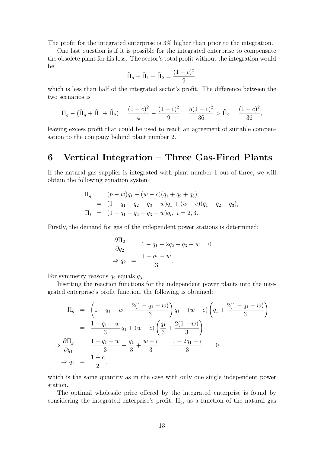The profit for the integrated enterprise is 3% higher than prior to the integration.

One last question is if it is possible for the integrated enterprise to compensate the obsolete plant for his loss. The sector's total profit without the integration would be:

$$
\tilde{\Pi}_g + \tilde{\Pi}_1 + \tilde{\Pi}_2 = \frac{(1-c)^2}{9},
$$

which is less than half of the integrated sector's profit. The difference between the two scenarios is

$$
\Pi_g - (\tilde{\Pi}_g + \tilde{\Pi}_1 + \tilde{\Pi}_2) = \frac{(1-c)^2}{4} - \frac{(1-c)^2}{9} = \frac{5(1-c)^2}{36} > \tilde{\Pi}_2 = \frac{(1-c)^2}{36},
$$

leaving excess profit that could be used to reach an agreement of suitable compensation to the company behind plant number 2.

#### 6 Vertical Integration – Three Gas-Fired Plants

If the natural gas supplier is integrated with plant number 1 out of three, we will obtain the following equation system:

$$
\Pi_g = (p - w)q_1 + (w - c)(q_1 + q_2 + q_3)
$$
  
=  $(1 - q_1 - q_2 - q_3 - w)q_1 + (w - c)(q_1 + q_2 + q_3),$   

$$
\Pi_i = (1 - q_1 - q_2 - q_3 - w)q_i, \quad i = 2, 3.
$$

Firstly, the demand for gas of the independent power stations is determined:

$$
\frac{\partial \Pi_2}{\partial q_2} = 1 - q_1 - 2q_2 - q_3 - w = 0
$$
  
\n
$$
\Rightarrow q_2 = \frac{1 - q_1 - w}{3}.
$$

For symmetry reasons  $q_2$  equals  $q_3$ .

Inserting the reaction functions for the independent power plants into the integrated enterprise's profit function, the following is obtained:

$$
\Pi_g = \left(1 - q_1 - w - \frac{2(1 - q_1 - w)}{3}\right)q_1 + (w - c)\left(q_1 + \frac{2(1 - q_1 - w)}{3}\right)
$$
  
\n
$$
= \frac{1 - q_1 - w}{3}q_1 + (w - c)\left(\frac{q_1}{3} + \frac{2(1 - w)}{3}\right)
$$
  
\n
$$
\Rightarrow \frac{\partial \Pi_g}{\partial q_1} = \frac{1 - q_1 - w}{3} - \frac{q_1}{3} + \frac{w - c}{3} = \frac{1 - 2q_1 - c}{3} = 0
$$
  
\n
$$
\Rightarrow q_1 = \frac{1 - c}{2},
$$

which is the same quantity as in the case with only one single independent power station.

The optimal wholesale price offered by the integrated enterprise is found by considering the integrated enterprise's profit,  $\Pi_g$ , as a function of the natural gas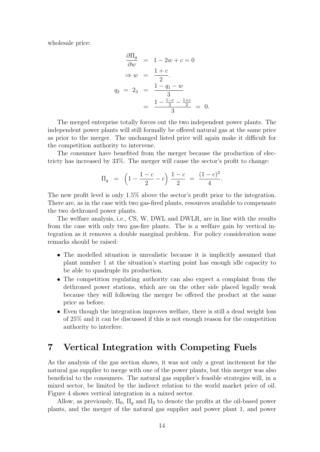wholesale price:

$$
\frac{\partial \Pi_g}{\partial w} = 1 - 2w + c = 0
$$

$$
\Rightarrow w = \frac{1+c}{2}.
$$

$$
q_2 = 2_3 = \frac{1 - q_1 - w}{3}
$$

$$
= \frac{1 - \frac{1-c}{2} - \frac{1+c}{2}}{3} = 0.
$$

The merged enterprise totally forces out the two independent power plants. The independent power plants will still formally be offered natural gas at the same price as prior to the merger. The unchanged listed price will again make it difficult for the competition authority to intervene.

The consumer have benefited from the merger because the production of electricty has increased by 33%. The merger will cause the sector's profit to change:

$$
\Pi_g = \left(1 - \frac{1 - c}{2} - c\right) \frac{1 - c}{2} = \frac{(1 - c)^2}{4}.
$$

The new profit level is only 1.5% above the sector's profit prior to the integration. There are, as in the case with two gas-fired plants, resources available to compensate the two dethroned power plants.

The welfare analysis, i.e., CS, W, DWL and DWLR, are in line with the results from the case with only two gas-fire plants. The is a welfare gain by vertical integration as it removes a double marginal problem. For policy consideration some remarks should be raised:

- The modelled situation is unrealistic because it is implicitly assumed that plant number 1 at the situation's starting point has enough idle capacity to be able to quadruple its production.
- The competition regulating authority can also expect a complaint from the dethroned power stations, which are on the other side placed legally weak because they will following the merger be offered the product at the same price as before.
- Even though the integration improves welfare, there is still a dead weight loss of 25% and it can be discussed if this is not enough reason for the competition authority to interfere.

#### 7 Vertical Integration with Competing Fuels

As the analysis of the gas section shows, it was not only a great incitement for the natural gas supplier to merge with one of the power plants, but this merger was also beneficial to the consumers. The natural gas supplier's feasible strategies will, in a mixed sector, be limited by the indirect relation to the world market price of oil. Figure 4 shows vertical integration in a mixed sector.

Allow, as previously,  $\Pi_0$ ,  $\Pi_a$  and  $\Pi_2$  to denote the profits at the oil-based power plants, and the merger of the natural gas supplier and power plant 1, and power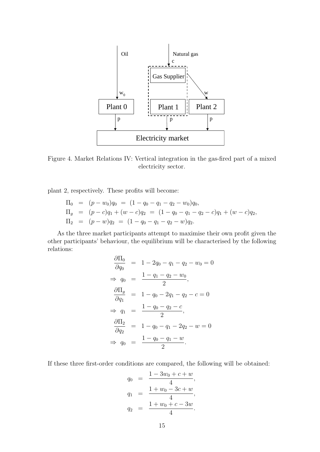

Figure 4. Market Relations IV: Vertical integration in the gas-fired part of a mixed electricity sector.

plant 2, respectively. These profits will become:

$$
\Pi_0 = (p - w_0)q_0 = (1 - q_0 - q_1 - q_2 - w_0)q_0,
$$
  
\n
$$
\Pi_g = (p - c)q_1 + (w - c)q_2 = (1 - q_0 - q_1 - q_2 - c)q_1 + (w - c)q_2,
$$
  
\n
$$
\Pi_2 = (p - w)q_2 = (1 - q_0 - q_1 - q_2 - w)q_2.
$$

As the three market participants attempt to maximise their own profit given the other participants' behaviour, the equilibrium will be characterised by the following relations:

$$
\frac{\partial \Pi_0}{\partial q_0} = 1 - 2q_0 - q_1 - q_2 - w_0 = 0
$$
  
\n
$$
\Rightarrow q_0 = \frac{1 - q_1 - q_2 - w_0}{2},
$$
  
\n
$$
\frac{\partial \Pi_g}{\partial q_1} = 1 - q_0 - 2q_1 - q_2 - c = 0
$$
  
\n
$$
\Rightarrow q_1 = \frac{1 - q_0 - q_2 - c}{2},
$$
  
\n
$$
\frac{\partial \Pi_2}{\partial q_2} = 1 - q_0 - q_1 - 2q_2 - w = 0
$$
  
\n
$$
\Rightarrow q_0 = \frac{1 - q_0 - q_1 - w}{2}.
$$

If these three first-order conditions are compared, the following will be obtained:

$$
q_0 = \frac{1 - 3w_0 + c + w}{4},
$$
  
\n
$$
q_1 = \frac{1 + w_0 - 3c + w}{4},
$$
  
\n
$$
q_2 = \frac{1 + w_0 + c - 3w}{4}.
$$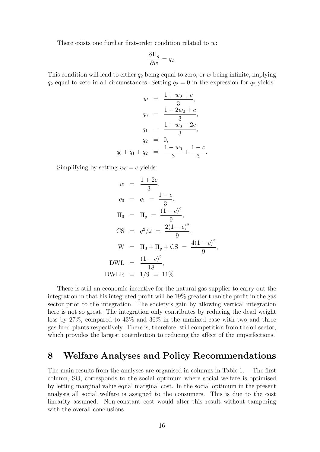There exists one further first-order condition related to w:

$$
\frac{\partial \Pi_g}{\partial w} = q_2.
$$

This condition will lead to either  $q_2$  being equal to zero, or w being infinite, implying  $q_2$  equal to zero in all circumstances. Setting  $q_2 = 0$  in the expression for  $q_2$  yields:

$$
w = \frac{1 + w_0 + c}{3},
$$
  
\n
$$
q_0 = \frac{1 - 2w_0 + c}{3},
$$
  
\n
$$
q_1 = \frac{1 + w_0 - 2c}{3},
$$
  
\n
$$
q_2 = 0,
$$
  
\n
$$
q_0 + q_1 + q_2 = \frac{1 - w_0}{3} + \frac{1 - c}{3}.
$$

Simplifying by setting  $w_0 = c$  yields:

$$
w = \frac{1+2c}{3},
$$
  
\n
$$
q_0 = q_1 = \frac{1-c}{3},
$$
  
\n
$$
\Pi_0 = \Pi_g = \frac{(1-c)^2}{9},
$$
  
\n
$$
\text{CS} = q^2/2 = \frac{2(1-c)^2}{9},
$$
  
\n
$$
\text{W} = \Pi_0 + \Pi_g + \text{CS} = \frac{4(1-c)^2}{9},
$$
  
\n
$$
\text{DWL} = \frac{(1-c)^2}{18},
$$
  
\nDWLR = 1/9 = 11%.

There is still an economic incentive for the natural gas supplier to carry out the integration in that his integrated profit will be 19% greater than the profit in the gas sector prior to the integration. The society's gain by allowing vertical integration here is not so great. The integration only contributes by reducing the dead weight loss by 27%, compared to 43% and 36% in the unmixed case with two and three gas-fired plants respectively. There is, therefore, still competition from the oil sector, which provides the largest contribution to reducing the affect of the imperfections.

### 8 Welfare Analyses and Policy Recommendations

The main results from the analyses are organised in columns in Table 1. The first column, SO, corresponds to the social optimum where social welfare is optimised by letting marginal value equal marginal cost. In the social optimum in the present analysis all social welfare is assigned to the consumers. This is due to the cost linearity assumed. Non-constant cost would alter this result without tampering with the overall conclusions.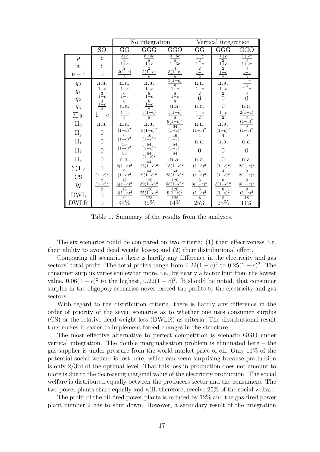|                                                                                                                                                                                                                                                                                                                        |                                                               | No integration                                                                                                |                                                                                                                                                                                                                                      |                                                                                                                                                                                                                                                                                          | Vertical integration                                                                   |                                                                                               |                                                                                                                         |
|------------------------------------------------------------------------------------------------------------------------------------------------------------------------------------------------------------------------------------------------------------------------------------------------------------------------|---------------------------------------------------------------|---------------------------------------------------------------------------------------------------------------|--------------------------------------------------------------------------------------------------------------------------------------------------------------------------------------------------------------------------------------|------------------------------------------------------------------------------------------------------------------------------------------------------------------------------------------------------------------------------------------------------------------------------------------|----------------------------------------------------------------------------------------|-----------------------------------------------------------------------------------------------|-------------------------------------------------------------------------------------------------------------------------|
|                                                                                                                                                                                                                                                                                                                        | SO <sub>1</sub>                                               | GG                                                                                                            | GGG                                                                                                                                                                                                                                  | GGO                                                                                                                                                                                                                                                                                      | GG                                                                                     | GGG                                                                                           | GGO                                                                                                                     |
| $\,p\,$                                                                                                                                                                                                                                                                                                                | $\mathcal{C}$                                                 |                                                                                                               |                                                                                                                                                                                                                                      |                                                                                                                                                                                                                                                                                          |                                                                                        |                                                                                               |                                                                                                                         |
| $\boldsymbol{w}$                                                                                                                                                                                                                                                                                                       | $\mathcal{C}$                                                 |                                                                                                               |                                                                                                                                                                                                                                      |                                                                                                                                                                                                                                                                                          |                                                                                        |                                                                                               |                                                                                                                         |
| $p - c$                                                                                                                                                                                                                                                                                                                | $\overline{0}$                                                | $\begin{array}{c c}\n\hline\n\frac{2+c}{3} \\ \hline\n\frac{1+c}{2} \\ \hline\n\frac{2(1-c)}{3}\n\end{array}$ | $\frac{\frac{5+3c}{8}}{\frac{1+c}{8}}$                                                                                                                                                                                               | $\begin{tabular}{c c} 3+5c & 8 \\ \hline 8+3c & 4 \\ 1+3c & 8 \\ \hline 3(1-c) & 8 \\ \hline 3(1-c) & 1-c \\ 1-c & 8 \\ \hline 8 & 1-c \\ 8 & 1-c \\ \hline 9(1-c)^2 & 16 \\ \hline 64 & (1-c)^2 & 16 \\ \hline 164 & (1-c)^2 & 64 \\ \hline 164 & (1-c)^2 & 64 \\ \hline \end{tabular}$ | $\frac{\frac{1+c}{2}}{\frac{1+c}{2}}$ $\frac{1-c}{2}$                                  | $\frac{\frac{1+c}{2}}{\frac{1+c}{2}}$ $\frac{1-c}{2}$                                         | $\frac{1+2c}{3}$ $\frac{1+2c}{3}$ $\frac{1-c}{3}$ $\frac{1-c}{3}$ $\frac{1-c}{3}$ 0                                     |
| $q_{0}% =\sqrt{q_{0}}\left( \sqrt{q_{0}}-1\right)$                                                                                                                                                                                                                                                                     | $\rm n.a.$                                                    | $\rm n.a.$                                                                                                    | n.a.                                                                                                                                                                                                                                 |                                                                                                                                                                                                                                                                                          |                                                                                        | n.a.                                                                                          |                                                                                                                         |
| $q_{\rm 1}$                                                                                                                                                                                                                                                                                                            |                                                               |                                                                                                               |                                                                                                                                                                                                                                      |                                                                                                                                                                                                                                                                                          |                                                                                        |                                                                                               |                                                                                                                         |
| $q_{\rm 2}$                                                                                                                                                                                                                                                                                                            |                                                               |                                                                                                               |                                                                                                                                                                                                                                      |                                                                                                                                                                                                                                                                                          | n.a.<br>$\frac{1-c}{2}$<br>0                                                           | $\begin{array}{c}\n\frac{1-c}{2} \\ 0 \\ 0\n\end{array}$                                      |                                                                                                                         |
| $q_{3}% ,\bar{q}_{3}+\bar{q}_{1}+q_{2}+q_{3}+q_{4}+q_{5}% ,\bar{q}_{2}+q_{6}% ,\bar{q}_{2}+q_{7},\bar{q}_{3}+q_{7},\bar{q}_{4}+q_{6}% ,\bar{q}_{5}+q_{7},\bar{q}_{6}+q_{7},\bar{q}_{7}+q_{8},\bar{q}_{8}+q_{8},\bar{q}_{9}+q_{10}+q_{11}+q_{12}+q_{13}+q_{14}+q_{15}+q_{16},\bar{q}_{10}+q_{11}+q_{12}+q_{13}+q_{14}+$ |                                                               |                                                                                                               |                                                                                                                                                                                                                                      |                                                                                                                                                                                                                                                                                          | n.a.                                                                                   |                                                                                               | $\rm n.a.$                                                                                                              |
| $\sum q_i$                                                                                                                                                                                                                                                                                                             | $rac{1-c}{\frac{3}{3}}$<br>$rac{1-c}{\frac{1-c}{3}}$<br>$1-c$ | $\begin{array}{r}\n\frac{1-c}{6} \\ \frac{1-c}{6} \\ n.a. \\ \frac{1-c}{3}\n\end{array}$                      | $rac{1-c}{8}$<br>$rac{1-c}{8}$<br>$rac{1-c}{8}$<br>$rac{3(1-c)}{8}$                                                                                                                                                                  |                                                                                                                                                                                                                                                                                          | $\frac{1-c}{2}$                                                                        | $\frac{1-c}{2}$                                                                               | $\frac{\frac{2(1-c)}{3}}{\frac{(1-c)^2}{9}}$ $\frac{(1-c)^2}{9}$                                                        |
| $\Pi_0$                                                                                                                                                                                                                                                                                                                | n.a.                                                          | n.a.                                                                                                          | n.a.                                                                                                                                                                                                                                 |                                                                                                                                                                                                                                                                                          | n.a.<br>$\frac{(1-c)^2}{4}$                                                            | n.a.                                                                                          |                                                                                                                         |
| $\Pi_g$                                                                                                                                                                                                                                                                                                                | $\overline{0}$                                                |                                                                                                               |                                                                                                                                                                                                                                      |                                                                                                                                                                                                                                                                                          |                                                                                        | $\frac{(1-c)^2}{4}$                                                                           |                                                                                                                         |
| $\Pi_1$                                                                                                                                                                                                                                                                                                                | $\overline{0}$                                                |                                                                                                               |                                                                                                                                                                                                                                      |                                                                                                                                                                                                                                                                                          | n.a.                                                                                   | n.a.                                                                                          | n.a.                                                                                                                    |
| $\Pi_2$                                                                                                                                                                                                                                                                                                                | $\overline{0}$                                                | $\frac{(1-c)^2}{6}$ $\frac{(1-c)^2}{36}$ $\frac{(1-c)^2}{36}$                                                 | $\begin{array}{l} \frac{3(1-c)^2}{16}\\ \frac{(1-c)^2}{64}\\ \frac{(1-c)^2}{64}\\ \frac{(1-c)^2}{64}\\ \frac{15(1-c)^2}{128}\\ \frac{9(1-c)^2}{128}\\ \frac{25(1-c)^2}{128}\\ \frac{25(1-c)^2}{128}\\ \frac{39\%}{39\%} \end{array}$ |                                                                                                                                                                                                                                                                                          | $\overline{0}$                                                                         | $\overline{0}$                                                                                | $\overline{0}$                                                                                                          |
| $\Pi_3$                                                                                                                                                                                                                                                                                                                | $\overline{0}$                                                | n.a.                                                                                                          |                                                                                                                                                                                                                                      | n.a.                                                                                                                                                                                                                                                                                     | n.a.                                                                                   | $\overline{0}$                                                                                | n.a.                                                                                                                    |
| $\sum \Pi_i$                                                                                                                                                                                                                                                                                                           | $\overline{0}$                                                | $\frac{2(1-c)^2}{9}$                                                                                          |                                                                                                                                                                                                                                      | $\frac{15(1-c)^2}{64}$<br>$\frac{25(1-c)^2}{128}$<br>$\frac{128}{9(1-c)^2}$<br>$\frac{128}{128}$<br>$14\%$                                                                                                                                                                               | $\frac{(1-c)^2}{4}$                                                                    | $\frac{(1-c)^2}{4}$                                                                           | $\begin{array}{l} \frac{2(1-c)^2}{9}\\ \frac{2(1-c)^2}{9}\\ \frac{4(1-c)^2}{9}\\ \frac{(1-c)^2}{18}\\ 11\% \end{array}$ |
| $\overline{\text{CS}}$                                                                                                                                                                                                                                                                                                 |                                                               |                                                                                                               |                                                                                                                                                                                                                                      |                                                                                                                                                                                                                                                                                          |                                                                                        |                                                                                               |                                                                                                                         |
| W                                                                                                                                                                                                                                                                                                                      | $\frac{(1-c)^2}{\frac{2}{2}}$<br>$\frac{(1-c)^2}{2}$          | $\frac{\frac{9}{(1-c)^2}}{\frac{18}{18}}$<br>$\frac{2(1-c)^2}{9}$                                             |                                                                                                                                                                                                                                      |                                                                                                                                                                                                                                                                                          | $\frac{\frac{4}{(1-c)^2}}{\frac{8}{(1-c)^2}}$ $\frac{(1-c)^2}{8}}$ $\frac{25\%}{25\%}$ | $\frac{\frac{4}{(1-c)^2}}{\frac{3(1-c)^2}{8}}$<br>$\frac{(1-c)^2}{8}}$<br>$\frac{25\%}{25\%}$ |                                                                                                                         |
| <b>DWL</b>                                                                                                                                                                                                                                                                                                             | $\overline{0}$                                                |                                                                                                               |                                                                                                                                                                                                                                      |                                                                                                                                                                                                                                                                                          |                                                                                        |                                                                                               |                                                                                                                         |
|                                                                                                                                                                                                                                                                                                                        |                                                               |                                                                                                               |                                                                                                                                                                                                                                      |                                                                                                                                                                                                                                                                                          |                                                                                        |                                                                                               |                                                                                                                         |
| <b>DWLR</b>                                                                                                                                                                                                                                                                                                            | $\overline{0}$                                                | $44\%$                                                                                                        |                                                                                                                                                                                                                                      |                                                                                                                                                                                                                                                                                          |                                                                                        |                                                                                               |                                                                                                                         |

Table 1. Summary of the results from the analyses.

The six scenarios could be compared on two criteria: (1) their effectiveness, i.e. their ability to avoid dead weight losses; and (2) their distributional effect.

Comparing all scenarios there is hardly any difference in the electricity and gas sectors' total profit. The total profits range from  $0.22(1-c)^2$  to  $0.25(1-c)^2$ . The consumer surplus varies somewhat more, i.e., by nearly a factor four from the lowest value,  $0.06(1-c)^2$  to the highest,  $0.22(1-c)^2$ . It should be noted, that consumer surplus in the oligopoly scenarios never exceed the profits to the electricity and gas sectors.

With regard to the distribution criteria, there is hardly any difference in the order of priority of the seven scenarios as to whether one uses consumer surplus (CS) or the relative dead weight loss (DWLR) as criteria. The distributional result thus makes it easier to implement forced changes in the structure.

The most effective alternative to perfect competition is scenario GGO under vertical integration. The double marginalisation problem is eliminated here – the gas-supplier is under pressure from the world market price of oil. Only 11% of the potential social welfare is lost here, which can seem surprising because production is only 2/3rd of the optimal level. That this loss in production does not amount to more is due to the decreasing marginal value of the electricity production. The social welfare is distributed equally between the producers sector and the consumers. The two power plants share equally and will, therefore, receive 25% of the social welfare.

The profit of the oil-fired power plants is reduced by 12% and the gas-fired power plant number 2 has to shut down. However, a secondary result of the integration